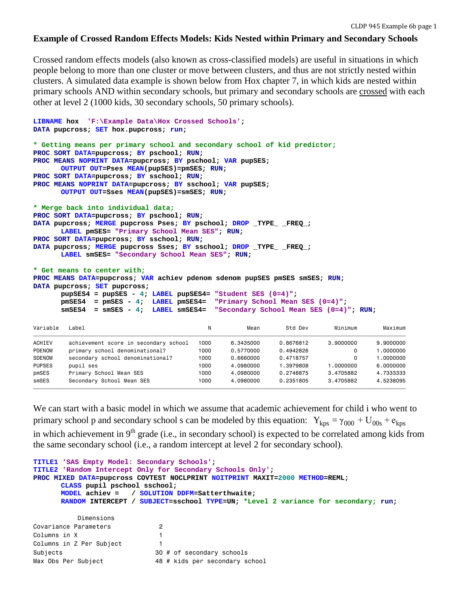#### **Example of Crossed Random Effects Models: Kids Nested within Primary and Secondary Schools**

Crossed random effects models (also known as cross-classified models) are useful in situations in which people belong to more than one cluster or move between clusters, and thus are not strictly nested within clusters. A simulated data example is shown below from Hox chapter 7, in which kids are nested within primary schools AND within secondary schools, but primary and secondary schools are crossed with each other at level 2 (1000 kids, 30 secondary schools, 50 primary schools).

```
LIBNAME hox 'F:\Example Data\Hox Crossed Schools'; 
DATA pupcross; SET hox.pupcross; run;
* Getting means per primary school and secondary school of kid predictor;
PROC SORT DATA=pupcross; BY pschool; RUN;
PROC MEANS NOPRINT DATA=pupcross; BY pschool; VAR pupSES; 
      OUTPUT OUT=Pses MEAN(pupSES)=pmSES; RUN;
PROC SORT DATA=pupcross; BY sschool; RUN;
PROC MEANS NOPRINT DATA=pupcross; BY sschool; VAR pupSES; 
      OUTPUT OUT=Sses MEAN(pupSES)=smSES; RUN;
* Merge back into individual data;
PROC SORT DATA=pupcross; BY pschool; RUN;
DATA pupcross; MERGE pupcross Pses; BY pschool; DROP _TYPE_ _FREQ_; 
      LABEL pmSES= "Primary School Mean SES"; RUN;
PROC SORT DATA=pupcross; BY sschool; RUN;
DATA pupcross; MERGE pupcross Sses; BY sschool; DROP _TYPE_ _FREQ_;
      LABEL smSES= "Secondary School Mean SES"; RUN;
* Get means to center with;
PROC MEANS DATA=pupcross; VAR achiev pdenom sdenom pupSES pmSES smSES; RUN;
DATA pupcross; SET pupcross;
      pupSES4 = pupSES - 4; LABEL pupSES4= "Student SES (0=4)";
      pmSES4 = pmSES - 4; LABEL pmSES4= "Primary School Mean SES (0=4)";
      smSES4 = smSES - 4; LABEL smSES4= "Secondary School Mean SES (0=4)"; RUN;
Variable Label                                 N Mean     Std Dev     Minimum     Maximum
ƒƒƒƒƒƒƒƒƒƒƒƒƒƒƒƒƒƒƒƒƒƒƒƒƒƒƒƒƒƒƒƒƒƒƒƒƒƒƒƒƒƒƒƒƒƒƒƒƒƒƒƒƒƒƒƒƒƒƒƒƒƒƒƒƒƒƒƒƒƒƒƒƒƒƒƒƒƒƒƒƒƒƒƒƒƒƒƒƒƒƒƒƒƒƒƒƒƒƒƒƒƒƒƒƒƒƒƒƒƒƒƒƒƒƒ
ACHIEV achievement score in secondary school 1000 6.3435000 0.8676812 3.9000000 9.9000000
PDENOM primary school denominational? 1000 0.5770000 0.4942826 0 1.0000000
SDENOM secondary school denominational? 1000 0.6660000 0.4718757 0 1.0000000<br>PURSES punil assets
PUPSES pupil ses 1000 4.0980000 1.3979808 1.0000000 6.0000000
pmSES Primary School Mean SES 1000 4.0980000 0.2748875 3.4705882 4.7333333
smSES Secondary School Mean SES 1000 4.0980000 0.2351805 3.4705882 4.5238095
```
We can start with a basic model in which we assume that academic achievement for child i who went to primary school p and secondary school s can be modeled by this equation:  $Y_{kps} = \gamma_{000} + U_{00s} + e_{kps}$ in which achievement in  $9<sup>th</sup>$  grade (i.e., in secondary school) is expected to be correlated among kids from the same secondary school (i.e., a random intercept at level 2 for secondary school).

ƒƒƒƒƒƒƒƒƒƒƒƒƒƒƒƒƒƒƒƒƒƒƒƒƒƒƒƒƒƒƒƒƒƒƒƒƒƒƒƒƒƒƒƒƒƒƒƒƒƒƒƒƒƒƒƒƒƒƒƒƒƒƒƒƒƒƒƒƒƒƒƒƒƒƒƒƒƒƒƒƒƒƒƒƒƒƒƒƒƒƒƒƒƒƒƒƒƒƒƒƒƒƒƒƒƒƒƒƒƒƒƒƒƒƒ

```
TITLE1 'SAS Empty Model: Secondary Schools';
TITLE2 'Random Intercept Only for Secondary Schools Only';
PROC MIXED DATA=pupcross COVTEST NOCLPRINT NOITPRINT MAXIT=2000 METHOD=REML;
      CLASS pupil pschool sschool;
     MODEL achiev = / SOLUTION DDFM=Satterthwaite; 
      RANDOM INTERCEPT / SUBJECT=sschool TYPE=UN; *Level 2 variance for secondary; run;
          Dimensions
Covariance Parameters 2
Columns in X 1
Columns in Z Per Subject 1
Subjects 30 # of secondary schools
Max Obs Per Subject 48 # kids per secondary school
```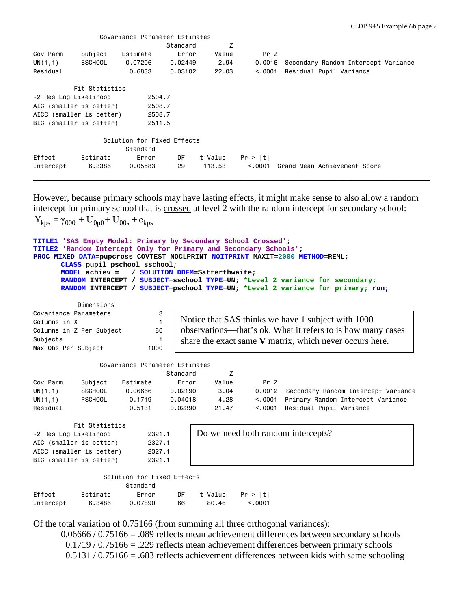|                       |                          | Covariance Parameter Estimates |          |         |         |                                     |
|-----------------------|--------------------------|--------------------------------|----------|---------|---------|-------------------------------------|
|                       |                          |                                | Standard | Ζ       |         |                                     |
| Cov Parm              | Subject                  | Estimate                       | Error    | Value   | Pr Z    |                                     |
| UN(1,1)               | <b>SSCHOOL</b>           | 0.07206                        | 0.02449  | 2.94    | 0.0016  | Secondary Random Intercept Variance |
| Residual              |                          | 0.6833                         | 0.03102  | 22.03   | < 0.001 | Residual Pupil Variance             |
|                       | Fit Statistics           |                                |          |         |         |                                     |
| -2 Res Log Likelihood |                          | 2504.7                         |          |         |         |                                     |
|                       | AIC (smaller is better)  | 2508.7                         |          |         |         |                                     |
|                       | AICC (smaller is better) | 2508.7                         |          |         |         |                                     |
|                       | BIC (smaller is better)  | 2511.5                         |          |         |         |                                     |
|                       |                          | Solution for Fixed Effects     |          |         |         |                                     |
|                       |                          | Standard                       |          |         |         |                                     |
| Effect                | Estimate                 | Error                          | DF       | t Value | Pr >  t |                                     |
| Intercept             | 6,3386                   | 0.05583                        | 29       | 113.53  | < 0.001 | Grand Mean Achievement Score        |
|                       |                          |                                |          |         |         |                                     |

However, because primary schools may have lasting effects, it might make sense to also allow a random intercept for primary school that is crossed at level 2 with the random intercept for secondary school:

```
Y_{\text{kps}} = \gamma_{000} + U_{0p0} + U_{00s} + e_{\text{kps}}TITLE1 'SAS Empty Model: Primary by Secondary School Crossed';
TITLE2 'Random Intercept Only for Primary and Secondary Schools';
PROC MIXED DATA=pupcross COVTEST NOCLPRINT NOITPRINT MAXIT=2000 METHOD=REML;
      CLASS pupil pschool sschool;
      MODEL achiev = / SOLUTION DDFM=Satterthwaite; 
      RANDOM INTERCEPT / SUBJECT=sschool TYPE=UN; *Level 2 variance for secondary;
      RANDOM INTERCEPT / SUBJECT=pschool TYPE=UN; *Level 2 variance for primary; run;
           Dimensions
Covariance Parameters 3
Columns in X 1
Columns in Z Per Subject 80
Subjects 1
Max Obs Per Subject 1000
                Covariance Parameter Estimates
                             Standard Z
Cov Parm Subject Estimate Error Value Pr Z
UN(1,1) SSCHOOL 0.06666 0.02190 3.04 0.0012 Secondary Random Intercept Variance
UN(1,1) PSCHOOL 0.1719 0.04018 4.28 <.0001 Primary Random Intercept Variance
Residual 0.5131 0.02390 21.47 <.0001 Residual Pupil Variance
          Fit Statistics
-2 Res Log Likelihood 2321.1
AIC (smaller is better) 2327.1
AICC (smaller is better) 2327.1
BIC (smaller is better) 2321.1
                 Solution for Fixed Effects
                      Standard
Effect Estimate Error DF t Value Pr > |t|
Intercept 6.3486 0.07890 66 80.46 <.0001
                                 Notice that SAS thinks we have 1 subject with 1000 
                                 observations—that's ok. What it refers to is how many cases 
                                 share the exact same V matrix, which never occurs here.
                                     Do we need both random intercepts?
```
### Of the total variation of 0.75166 (from summing all three orthogonal variances):

0.06666 / 0.75166 = .089 reflects mean achievement differences between secondary schools 0.1719 / 0.75166 = .229 reflects mean achievement differences between primary schools  $0.5131 / 0.75166 = .683$  reflects achievement differences between kids with same schooling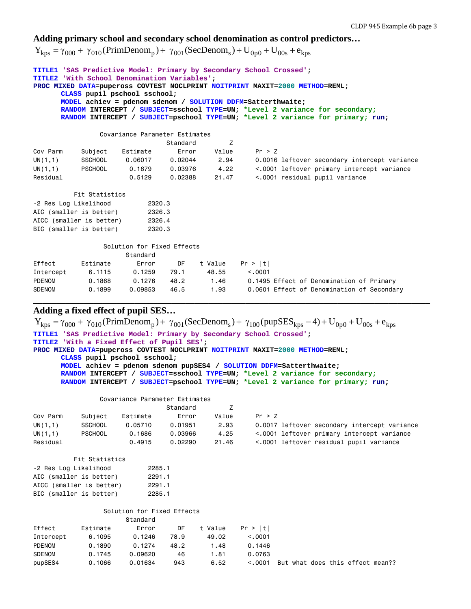# **Adding primary school and secondary school denomination as control predictors…**

 $Y_{kps} = \gamma_{000} + \gamma_{010} (PrimDenom_{p}) + \gamma_{001} (SecDenom_{s}) + U_{0p0} + U_{00s} + e_{kps}$ 

| TITLE1 'SAS Predictive Model: Primary by Secondary School Crossed';<br><b>TITLE2</b> 'With School Denomination Variables':<br>PROC MIXED DATA=pupcross COVTEST NOCLPRINT NOITPRINT MAXIT=2000 METHOD=REML;<br>CLASS pupil pschool sschool;<br>MODEL achiev = pdenom sdenom / SOLUTION DDFM=Satterthwaite;<br>RANDOM INTERCEPT / SUBJECT=sschool TYPE=UN; *Level 2 variance for secondary;<br>RANDOM INTERCEPT / SUBJECT=pschool TYPE=UN; *Level 2 variance for primary; run; |                            |               |          |         |                                              |  |  |  |
|------------------------------------------------------------------------------------------------------------------------------------------------------------------------------------------------------------------------------------------------------------------------------------------------------------------------------------------------------------------------------------------------------------------------------------------------------------------------------|----------------------------|---------------|----------|---------|----------------------------------------------|--|--|--|
| Covariance Parameter Estimates                                                                                                                                                                                                                                                                                                                                                                                                                                               |                            |               |          |         |                                              |  |  |  |
|                                                                                                                                                                                                                                                                                                                                                                                                                                                                              |                            |               | Standard | Z       |                                              |  |  |  |
| Cov Parm                                                                                                                                                                                                                                                                                                                                                                                                                                                                     | Subject                    | Estimate      | Error    | Value   | Pr > Z                                       |  |  |  |
| UN(1,1)                                                                                                                                                                                                                                                                                                                                                                                                                                                                      | <b>SSCHOOL</b>             | 0.06017       | 0.02044  | 2.94    | 0.0016 leftover secondary intercept variance |  |  |  |
| UN(1,1)                                                                                                                                                                                                                                                                                                                                                                                                                                                                      | <b>PSCHOOL</b>             | 0.1679        | 0.03976  | 4.22    | <.0001 leftover primary intercept variance   |  |  |  |
| Residual                                                                                                                                                                                                                                                                                                                                                                                                                                                                     |                            | 0.5129        | 0.02388  | 21.47   | <.0001 residual pupil variance               |  |  |  |
|                                                                                                                                                                                                                                                                                                                                                                                                                                                                              | Fit Statistics             |               |          |         |                                              |  |  |  |
| -2 Res Log Likelihood                                                                                                                                                                                                                                                                                                                                                                                                                                                        |                            | 2320.3        |          |         |                                              |  |  |  |
| AIC (smaller is better)                                                                                                                                                                                                                                                                                                                                                                                                                                                      |                            | 2326.3        |          |         |                                              |  |  |  |
| AICC (smaller is better)                                                                                                                                                                                                                                                                                                                                                                                                                                                     |                            | 2326.4        |          |         |                                              |  |  |  |
| BIC (smaller is better)                                                                                                                                                                                                                                                                                                                                                                                                                                                      |                            | 2320.3        |          |         |                                              |  |  |  |
|                                                                                                                                                                                                                                                                                                                                                                                                                                                                              | Solution for Fixed Effects |               |          |         |                                              |  |  |  |
|                                                                                                                                                                                                                                                                                                                                                                                                                                                                              |                            | Standard      |          |         |                                              |  |  |  |
| Effect                                                                                                                                                                                                                                                                                                                                                                                                                                                                       | Estimate                   | Error         | DF       | t Value | Pr >  t                                      |  |  |  |
| Intercept                                                                                                                                                                                                                                                                                                                                                                                                                                                                    | 6.1115                     | $0.1259$ 79.1 |          | 48.55   | < 0.0001                                     |  |  |  |
| <b>PDENOM</b>                                                                                                                                                                                                                                                                                                                                                                                                                                                                | 0.1868                     | 0.1276        | 48.2     | 1.46    | 0.1495 Effect of Denomination of Primary     |  |  |  |
| <b>SDENOM</b>                                                                                                                                                                                                                                                                                                                                                                                                                                                                | 0.1899                     | 0.09853       | 46.5     | 1.93    | 0.0601 Effect of Denomination of Secondary   |  |  |  |

**\_\_\_\_\_\_\_\_\_\_\_\_\_\_\_\_\_\_\_\_\_\_\_\_\_\_\_\_\_\_\_\_\_\_\_\_\_\_\_\_\_\_\_\_\_\_\_\_\_\_\_\_\_\_\_\_\_\_\_\_\_\_\_\_\_\_\_\_\_\_\_\_\_\_\_\_\_\_\_\_\_\_\_\_\_\_**

# **Adding a fixed effect of pupil SES…**

|                                                                     |                |                                                                                 |          |         |         |  |  | $Y_{\text{kps}} = \gamma_{000} + \gamma_{010}$ (PrimDenom <sub>p</sub> ) + $\gamma_{001}$ (SecDenom <sub>s</sub> ) + $\gamma_{100}$ (pupSES <sub>kps</sub> - 4) + U <sub>0p0</sub> + U <sub>00s</sub> + e <sub>kps</sub> |  |
|---------------------------------------------------------------------|----------------|---------------------------------------------------------------------------------|----------|---------|---------|--|--|--------------------------------------------------------------------------------------------------------------------------------------------------------------------------------------------------------------------------|--|
| TITLE1 'SAS Predictive Model: Primary by Secondary School Crossed'; |                |                                                                                 |          |         |         |  |  |                                                                                                                                                                                                                          |  |
|                                                                     |                | TITLE2 'With a Fixed Effect of Pupil SES';                                      |          |         |         |  |  |                                                                                                                                                                                                                          |  |
|                                                                     |                | PROC MIXED DATA=pupcross COVTEST NOCLPRINT NOITPRINT MAXIT=2000 METHOD=REML;    |          |         |         |  |  |                                                                                                                                                                                                                          |  |
|                                                                     |                | CLASS pupil pschool sschool;                                                    |          |         |         |  |  |                                                                                                                                                                                                                          |  |
|                                                                     |                | MODEL achiev = pdenom sdenom pupSES4 / SOLUTION DDFM=Satterthwaite;             |          |         |         |  |  |                                                                                                                                                                                                                          |  |
|                                                                     |                | RANDOM INTERCEPT / SUBJECT=sschool TYPE=UN; *Level 2 variance for secondary;    |          |         |         |  |  |                                                                                                                                                                                                                          |  |
|                                                                     |                | RANDOM INTERCEPT / SUBJECT=pschool TYPE=UN; *Level 2 variance for primary; run; |          |         |         |  |  |                                                                                                                                                                                                                          |  |
|                                                                     |                | Covariance Parameter Estimates                                                  |          |         |         |  |  |                                                                                                                                                                                                                          |  |
|                                                                     |                |                                                                                 | Standard | Z       |         |  |  |                                                                                                                                                                                                                          |  |
| Cov Parm                                                            | Subject        | Estimate                                                                        | Error    | Value   | Pr > Z  |  |  |                                                                                                                                                                                                                          |  |
| UN(1,1)                                                             | <b>SSCHOOL</b> | 0.05710                                                                         | 0.01951  | 2.93    |         |  |  | 0.0017 leftover secondary intercept variance                                                                                                                                                                             |  |
| UN(1,1)                                                             | <b>PSCHOOL</b> | 0.1686                                                                          | 0.03966  | 4.25    |         |  |  | <.0001 leftover primary intercept variance                                                                                                                                                                               |  |
| Residual                                                            |                | 0.4915                                                                          | 0.02290  | 21.46   |         |  |  | <.0001 leftover residual pupil variance                                                                                                                                                                                  |  |
|                                                                     | Fit Statistics |                                                                                 |          |         |         |  |  |                                                                                                                                                                                                                          |  |
| -2 Res Log Likelihood                                               |                | 2285.1                                                                          |          |         |         |  |  |                                                                                                                                                                                                                          |  |
| AIC (smaller is better)                                             |                | 2291.1                                                                          |          |         |         |  |  |                                                                                                                                                                                                                          |  |
| AICC (smaller is better)                                            |                | 2291.1                                                                          |          |         |         |  |  |                                                                                                                                                                                                                          |  |
| BIC (smaller is better)                                             |                | 2285.1                                                                          |          |         |         |  |  |                                                                                                                                                                                                                          |  |
|                                                                     |                | Solution for Fixed Effects                                                      |          |         |         |  |  |                                                                                                                                                                                                                          |  |
|                                                                     |                | Standard                                                                        |          |         |         |  |  |                                                                                                                                                                                                                          |  |
| Effect                                                              | Estimate       | Error                                                                           | DF.      | t Value | Pr >  t |  |  |                                                                                                                                                                                                                          |  |
| Intercept                                                           | 6.1095         | 0.1246                                                                          | 78.9     | 49.02   | < 0.001 |  |  |                                                                                                                                                                                                                          |  |
| <b>PDENOM</b>                                                       | 0.1890         | 0.1274                                                                          | 48.2     | 1.48    | 0.1446  |  |  |                                                                                                                                                                                                                          |  |
| <b>SDENOM</b>                                                       | 0.1745         | 0.09620                                                                         | 46       | 1.81    | 0.0763  |  |  |                                                                                                                                                                                                                          |  |
| pupSES4                                                             | 0.1066         | 0.01634                                                                         | 943      | 6.52    | < 0.001 |  |  | But what does this effect mean??                                                                                                                                                                                         |  |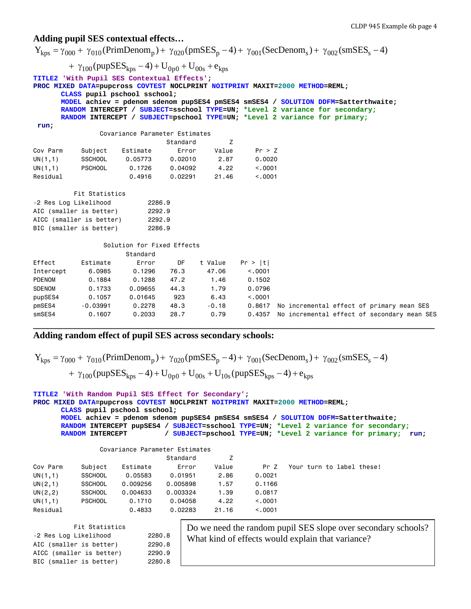#### **Adding pupil SES contextual effects…**

 $Y_{kps} = \gamma_{000} + \gamma_{010}$ (PrimDenom<sub>p</sub>) +  $\gamma_{020}$ (pmSES<sub>p</sub> - 4) +  $\gamma_{001}$ (SecDenom<sub>s</sub>) +  $\gamma_{002}$ (smSES<sub>s</sub> - 4) +  $\gamma_{100}$  (pupSES<sub>kps</sub> - 4) + U<sub>0p0</sub> + U<sub>00s</sub> + e<sub>kps</sub> **TITLE2 'With Pupil SES Contextual Effects'; PROC MIXED DATA=pupcross COVTEST NOCLPRINT NOITPRINT MAXIT=2000 METHOD=REML; CLASS pupil pschool sschool; MODEL achiev = pdenom sdenom pupSES4 pmSES4 smSES4 / SOLUTION DDFM=Satterthwaite; RANDOM INTERCEPT / SUBJECT=sschool TYPE=UN; \*Level 2 variance for secondary; RANDOM INTERCEPT / SUBJECT=pschool TYPE=UN; \*Level 2 variance for primary; run;** Covariance Parameter Estimates extending the Standard Standard Z Cov Parm Subject Estimate Error Value Pr > Z UN(1,1) SSCHOOL 0.05773 0.02010 2.87 0.0020 UN(1,1) PSCHOOL 0.1726 0.04092 4.22 <.0001 Residual 0.4916 0.02291 21.46 <.0001 Fit Statistics -2 Res Log Likelihood 2286.9 AIC (smaller is better) 2292.9 AICC (smaller is better) 2292.9 BIC (smaller is better) 2286.9 Solution for Fixed Effects Standard Effect Estimate Error DF t Value Pr > |t| Intercept 6.0985 0.1296 76.3 47.06 <.0001 PDENOM 0.1884 0.1288 47.2 1.46 0.1502 SDENOM 0.1733 0.09655 44.3 1.79 0.0796 pupSES4 0.1057 0.01645 923 6.43 <.0001 pmSES4 -0.03991 0.2278 48.3 -0.18 0.8617 No incremental effect of primary mean SES smSES4 0.1607 0.2033 28.7 0.79 0.4357 No incremental effect of secondary mean SES **\_\_\_\_\_\_\_\_\_\_\_\_\_\_\_\_\_\_\_\_\_\_\_\_\_\_\_\_\_\_\_\_\_\_\_\_\_\_\_\_\_\_\_\_\_\_\_\_\_\_\_\_\_\_\_\_\_\_\_\_\_\_\_\_\_\_\_\_\_\_\_\_\_\_\_\_\_\_\_\_\_\_\_\_\_\_\_**

## **Adding random effect of pupil SES across secondary schools:**

| $Y_{kps} = \gamma_{000} + \gamma_{010}$ (PrimDenom <sub>p</sub> ) + $\gamma_{020}$ (pmSES <sub>p</sub> - 4) + $\gamma_{001}$ (SecDenom <sub>s</sub> ) + $\gamma_{002}$ (smSES <sub>s</sub> - 4) |  |
|-------------------------------------------------------------------------------------------------------------------------------------------------------------------------------------------------|--|
| + $\gamma_{100}$ (pupSES <sub>kps</sub> - 4) + U <sub>0p0</sub> + U <sub>00s</sub> + U <sub>10s</sub> (pupSES <sub>kps</sub> - 4) + e <sub>kps</sub>                                            |  |

```
TITLE2 'With Random Pupil SES Effect for Secondary';
PROC MIXED DATA=pupcross COVTEST NOCLPRINT NOITPRINT MAXIT=2000 METHOD=REML;
      CLASS pupil pschool sschool;
      MODEL achiev = pdenom sdenom pupSES4 pmSES4 smSES4 / SOLUTION DDFM=Satterthwaite;
      RANDOM INTERCEPT pupSES4 / SUBJECT=sschool TYPE=UN; *Level 2 variance for secondary;
      RANDOM INTERCEPT / SUBJECT=pschool TYPE=UN; *Level 2 variance for primary; run;
```

|          | Covariance Parameter Estimates |          |          |       |          |                           |
|----------|--------------------------------|----------|----------|-------|----------|---------------------------|
|          |                                |          | Standard |       |          |                           |
| Cov Parm | Subject                        | Estimate | Error    | Value | Pr 7     | Your turn to label these! |
| UN(1,1)  | <b>SSCHOOL</b>                 | 0.05583  | 0.01951  | 2.86  | 0.0021   |                           |
| UN(2,1)  | <b>SSCHOOL</b>                 | 0.009256 | 0.005898 | 1.57  | 0.1166   |                           |
| UN(2, 2) | <b>SSCHOOL</b>                 | 0.004633 | 0.003324 | 1.39  | 0.0817   |                           |
| UN(1,1)  | <b>PSCHOOL</b>                 | 0.1710   | 0.04058  | 4.22  | < 0.001  |                           |
| Residual |                                | 0.4833   | 0.02283  | 21.16 | < 0.0001 |                           |

| Fit Statistics           |        |
|--------------------------|--------|
| -2 Res Log Likelihood    | 2280.8 |
| AIC (smaller is better)  | 2290.8 |
| AICC (smaller is better) | 2290.9 |
| BIC (smaller is better)  | 2280.8 |
|                          |        |

Do we need the random pupil SES slope over secondary schools? What kind of effects would explain that variance?